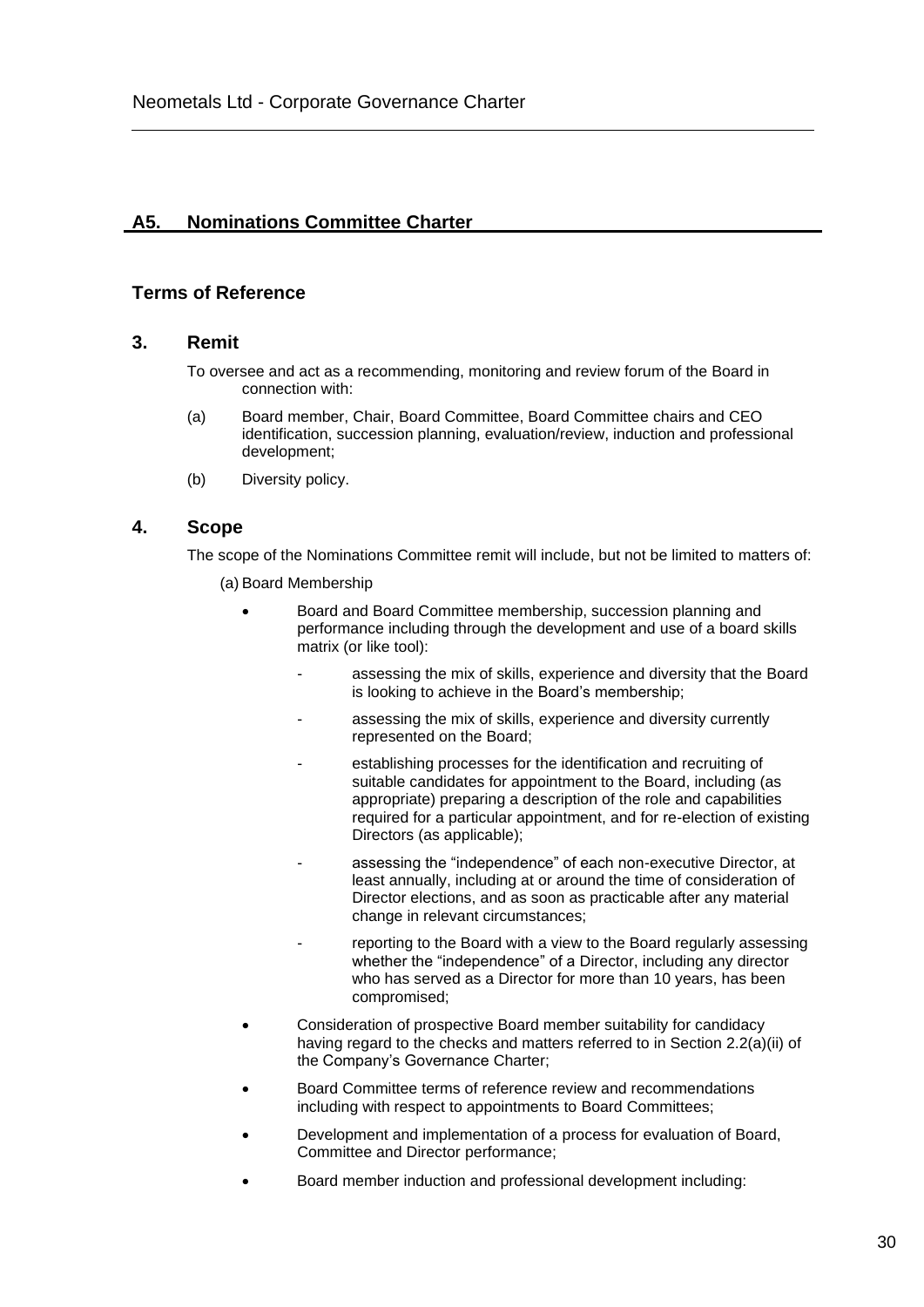# **A5. Nominations Committee Charter**

## **Terms of Reference**

### **3. Remit**

To oversee and act as a recommending, monitoring and review forum of the Board in connection with:

- (a) Board member, Chair, Board Committee, Board Committee chairs and CEO identification, succession planning, evaluation/review, induction and professional development;
- (b) Diversity policy.

## **4. Scope**

The scope of the Nominations Committee remit will include, but not be limited to matters of:

- (a) Board Membership
	- Board and Board Committee membership, succession planning and performance including through the development and use of a board skills matrix (or like tool):
		- assessing the mix of skills, experience and diversity that the Board is looking to achieve in the Board's membership;
		- assessing the mix of skills, experience and diversity currently represented on the Board;
		- establishing processes for the identification and recruiting of suitable candidates for appointment to the Board, including (as appropriate) preparing a description of the role and capabilities required for a particular appointment, and for re-election of existing Directors (as applicable);
		- assessing the "independence" of each non-executive Director, at least annually, including at or around the time of consideration of Director elections, and as soon as practicable after any material change in relevant circumstances;
		- reporting to the Board with a view to the Board regularly assessing whether the "independence" of a Director, including any director who has served as a Director for more than 10 years, has been compromised;
	- Consideration of prospective Board member suitability for candidacy having regard to the checks and matters referred to in Section 2.2(a)(ii) of the Company's Governance Charter;
	- Board Committee terms of reference review and recommendations including with respect to appointments to Board Committees;
	- Development and implementation of a process for evaluation of Board, Committee and Director performance;
	- Board member induction and professional development including: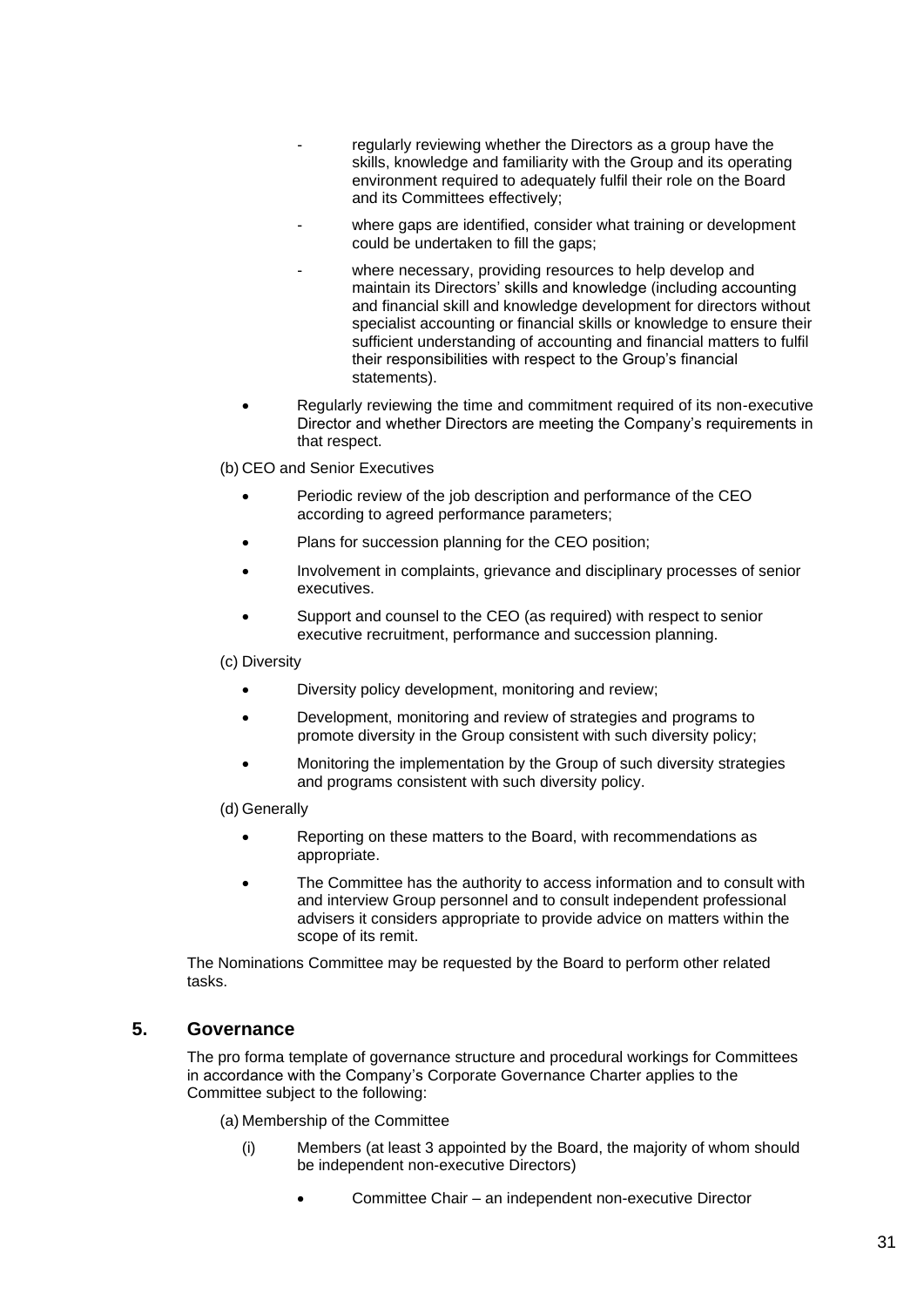- regularly reviewing whether the Directors as a group have the skills, knowledge and familiarity with the Group and its operating environment required to adequately fulfil their role on the Board and its Committees effectively;
- where gaps are identified, consider what training or development could be undertaken to fill the gaps;
	- where necessary, providing resources to help develop and maintain its Directors' skills and knowledge (including accounting and financial skill and knowledge development for directors without specialist accounting or financial skills or knowledge to ensure their sufficient understanding of accounting and financial matters to fulfil their responsibilities with respect to the Group's financial statements).
- Regularly reviewing the time and commitment required of its non-executive Director and whether Directors are meeting the Company's requirements in that respect.

(b) CEO and Senior Executives

- Periodic review of the job description and performance of the CEO according to agreed performance parameters;
- Plans for succession planning for the CEO position;
- Involvement in complaints, grievance and disciplinary processes of senior executives.
- Support and counsel to the CEO (as required) with respect to senior executive recruitment, performance and succession planning.

(c) Diversity

- Diversity policy development, monitoring and review;
- Development, monitoring and review of strategies and programs to promote diversity in the Group consistent with such diversity policy;
- Monitoring the implementation by the Group of such diversity strategies and programs consistent with such diversity policy.

(d) Generally

- Reporting on these matters to the Board, with recommendations as appropriate.
- The Committee has the authority to access information and to consult with and interview Group personnel and to consult independent professional advisers it considers appropriate to provide advice on matters within the scope of its remit.

The Nominations Committee may be requested by the Board to perform other related tasks.

## **5. Governance**

The pro forma template of governance structure and procedural workings for Committees in accordance with the Company's Corporate Governance Charter applies to the Committee subject to the following:

(a) Membership of the Committee

- (i) Members (at least 3 appointed by the Board, the majority of whom should be independent non-executive Directors)
	- Committee Chair an independent non-executive Director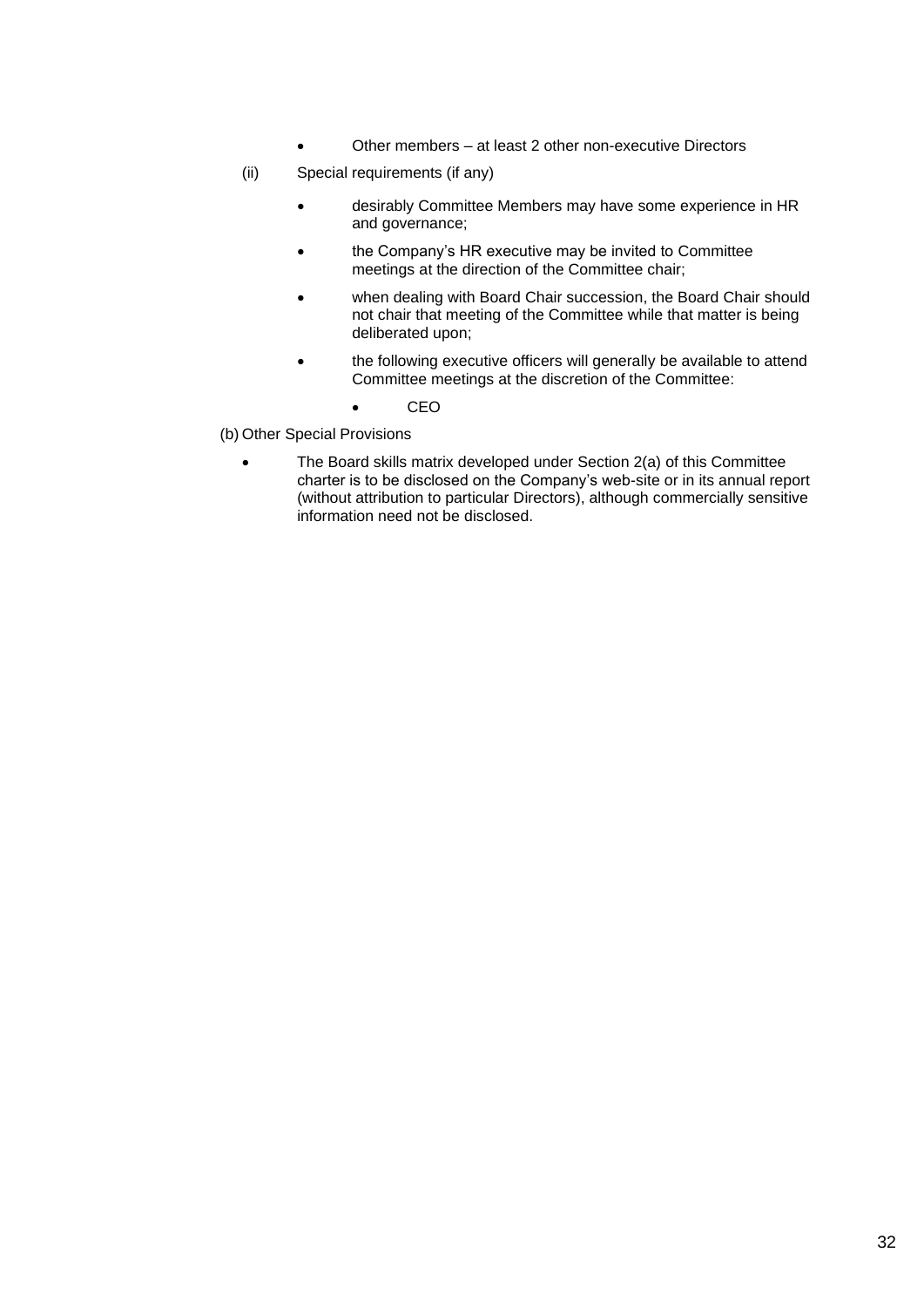- Other members at least 2 other non-executive Directors
- (ii) Special requirements (if any)
	- desirably Committee Members may have some experience in HR and governance;
	- the Company's HR executive may be invited to Committee meetings at the direction of the Committee chair;
	- when dealing with Board Chair succession, the Board Chair should not chair that meeting of the Committee while that matter is being deliberated upon;
	- the following executive officers will generally be available to attend Committee meetings at the discretion of the Committee:
		- CEO
- (b) Other Special Provisions
	- The Board skills matrix developed under Section 2(a) of this Committee charter is to be disclosed on the Company's web-site or in its annual report (without attribution to particular Directors), although commercially sensitive information need not be disclosed.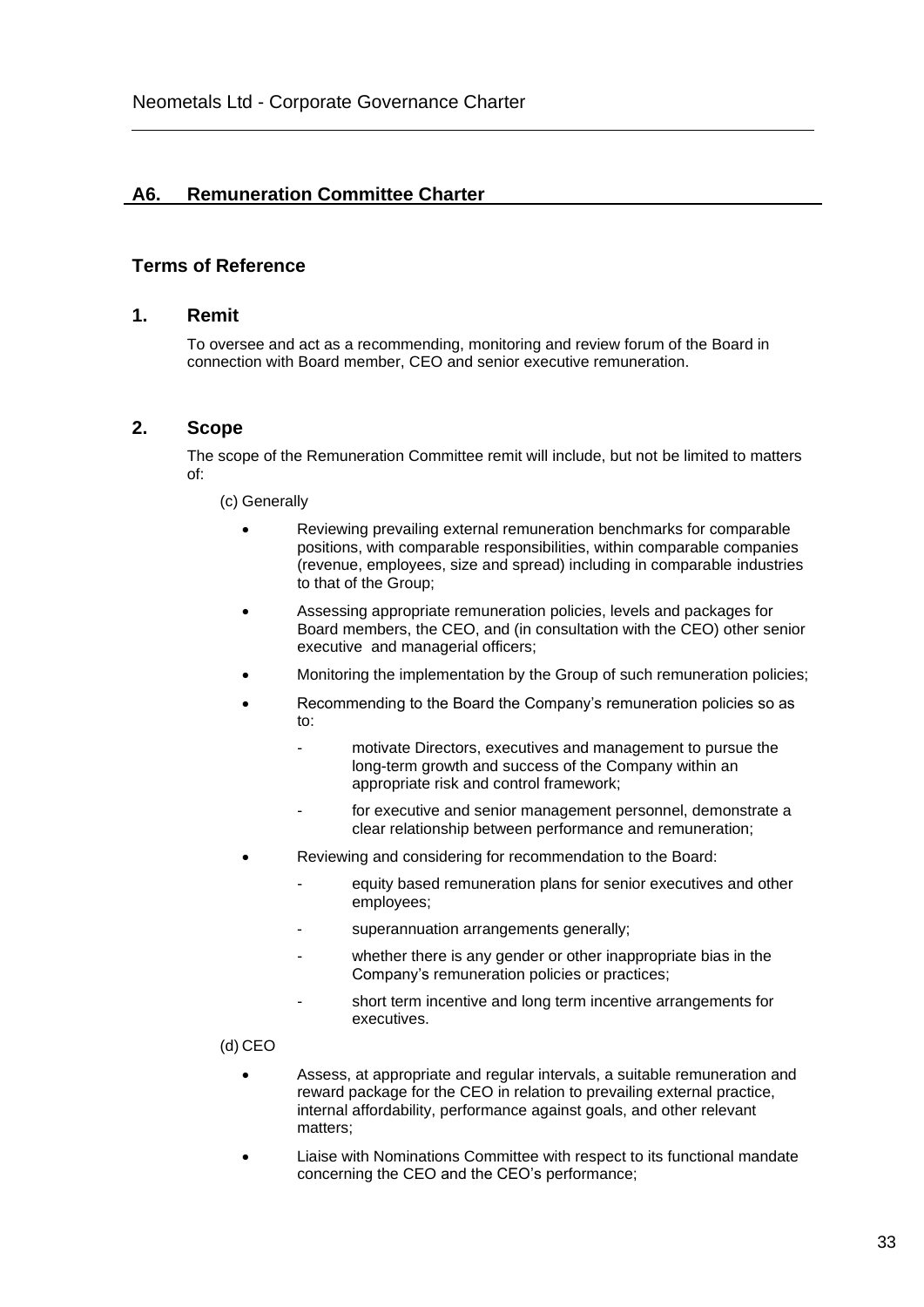# **A6. Remuneration Committee Charter**

## **Terms of Reference**

#### **1. Remit**

To oversee and act as a recommending, monitoring and review forum of the Board in connection with Board member, CEO and senior executive remuneration.

#### **2. Scope**

The scope of the Remuneration Committee remit will include, but not be limited to matters of:

(c) Generally

- Reviewing prevailing external remuneration benchmarks for comparable positions, with comparable responsibilities, within comparable companies (revenue, employees, size and spread) including in comparable industries to that of the Group;
- Assessing appropriate remuneration policies, levels and packages for Board members, the CEO, and (in consultation with the CEO) other senior executive and managerial officers;
- Monitoring the implementation by the Group of such remuneration policies;
- Recommending to the Board the Company's remuneration policies so as to:
	- motivate Directors, executives and management to pursue the long-term growth and success of the Company within an appropriate risk and control framework;
	- for executive and senior management personnel, demonstrate a clear relationship between performance and remuneration;
- Reviewing and considering for recommendation to the Board:
	- equity based remuneration plans for senior executives and other employees;
	- superannuation arrangements generally;
	- whether there is any gender or other inappropriate bias in the Company's remuneration policies or practices;
	- short term incentive and long term incentive arrangements for executives.

(d) CEO

- Assess, at appropriate and regular intervals, a suitable remuneration and reward package for the CEO in relation to prevailing external practice, internal affordability, performance against goals, and other relevant matters;
- Liaise with Nominations Committee with respect to its functional mandate concerning the CEO and the CEO's performance;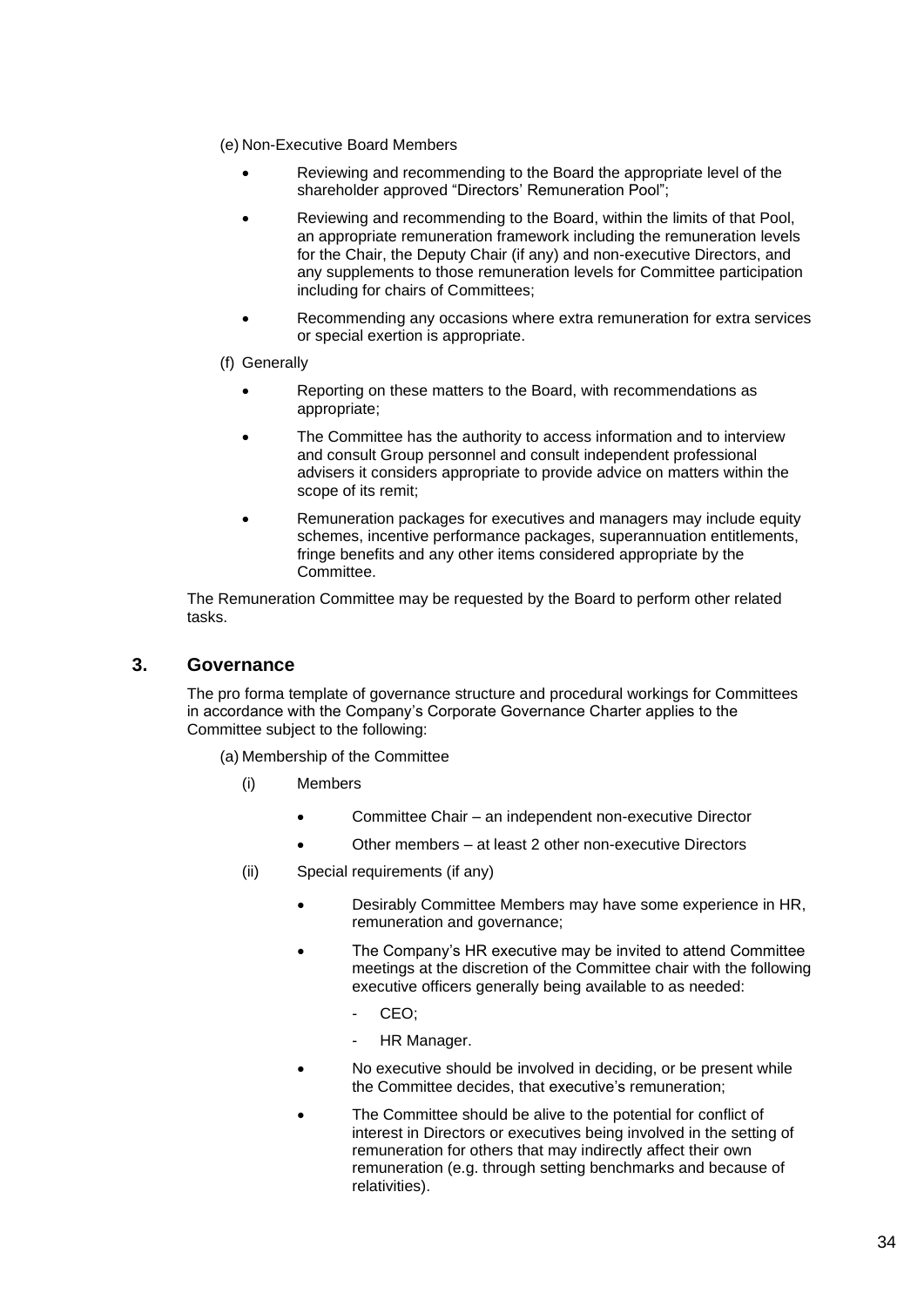- (e) Non-Executive Board Members
	- Reviewing and recommending to the Board the appropriate level of the shareholder approved "Directors' Remuneration Pool";
	- Reviewing and recommending to the Board, within the limits of that Pool, an appropriate remuneration framework including the remuneration levels for the Chair, the Deputy Chair (if any) and non-executive Directors, and any supplements to those remuneration levels for Committee participation including for chairs of Committees;
	- Recommending any occasions where extra remuneration for extra services or special exertion is appropriate.

#### (f) Generally

- Reporting on these matters to the Board, with recommendations as appropriate;
- The Committee has the authority to access information and to interview and consult Group personnel and consult independent professional advisers it considers appropriate to provide advice on matters within the scope of its remit;
- Remuneration packages for executives and managers may include equity schemes, incentive performance packages, superannuation entitlements, fringe benefits and any other items considered appropriate by the Committee.

The Remuneration Committee may be requested by the Board to perform other related tasks.

### **3. Governance**

The pro forma template of governance structure and procedural workings for Committees in accordance with the Company's Corporate Governance Charter applies to the Committee subject to the following:

(a) Membership of the Committee

- (i) Members
	- Committee Chair an independent non-executive Director
	- Other members at least 2 other non-executive Directors
- (ii) Special requirements (if any)
	- Desirably Committee Members may have some experience in HR, remuneration and governance;
	- The Company's HR executive may be invited to attend Committee meetings at the discretion of the Committee chair with the following executive officers generally being available to as needed:
		- CEO:
		- HR Manager.
	- No executive should be involved in deciding, or be present while the Committee decides, that executive's remuneration;
	- The Committee should be alive to the potential for conflict of interest in Directors or executives being involved in the setting of remuneration for others that may indirectly affect their own remuneration (e.g. through setting benchmarks and because of relativities).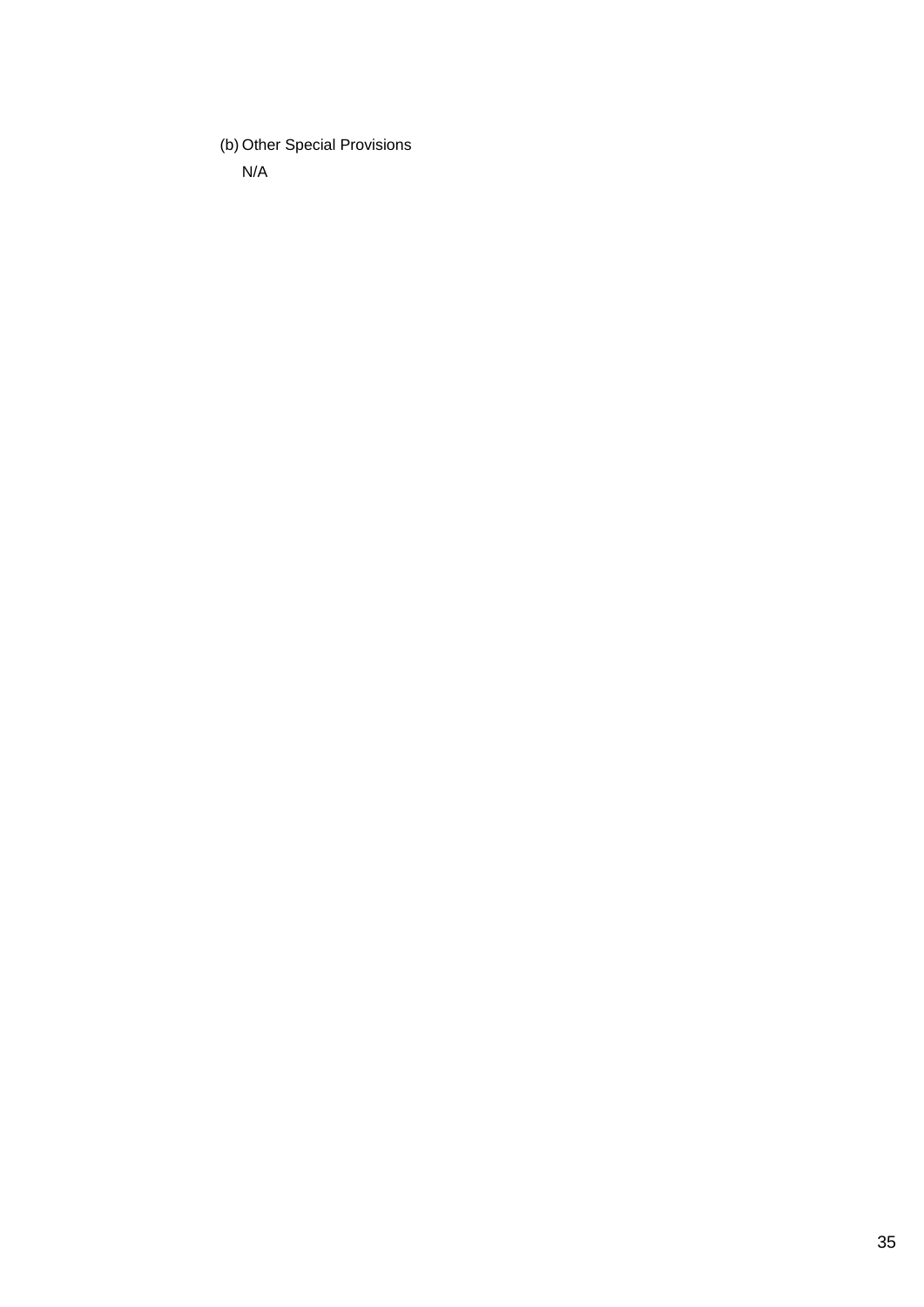(b) Other Special Provisions

N/A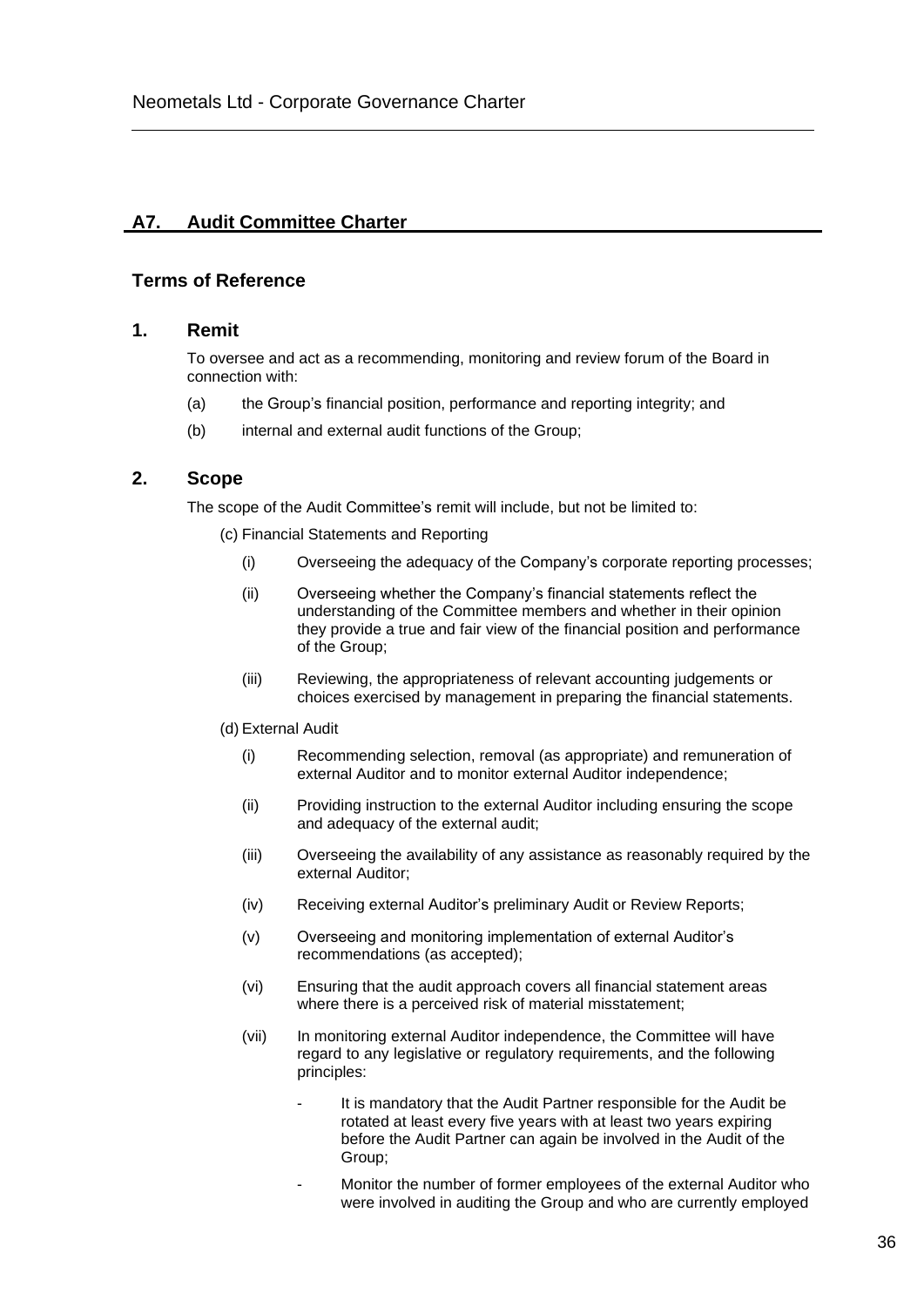## **A7. Audit Committee Charter**

### **Terms of Reference**

### **1. Remit**

To oversee and act as a recommending, monitoring and review forum of the Board in connection with:

- (a) the Group's financial position, performance and reporting integrity; and
- (b) internal and external audit functions of the Group;

### **2. Scope**

The scope of the Audit Committee's remit will include, but not be limited to:

(c) Financial Statements and Reporting

- (i) Overseeing the adequacy of the Company's corporate reporting processes;
- (ii) Overseeing whether the Company's financial statements reflect the understanding of the Committee members and whether in their opinion they provide a true and fair view of the financial position and performance of the Group;
- (iii) Reviewing, the appropriateness of relevant accounting judgements or choices exercised by management in preparing the financial statements.

#### (d) External Audit

- (i) Recommending selection, removal (as appropriate) and remuneration of external Auditor and to monitor external Auditor independence;
- (ii) Providing instruction to the external Auditor including ensuring the scope and adequacy of the external audit;
- (iii) Overseeing the availability of any assistance as reasonably required by the external Auditor;
- (iv) Receiving external Auditor's preliminary Audit or Review Reports;
- (v) Overseeing and monitoring implementation of external Auditor's recommendations (as accepted);
- (vi) Ensuring that the audit approach covers all financial statement areas where there is a perceived risk of material misstatement;
- (vii) In monitoring external Auditor independence, the Committee will have regard to any legislative or regulatory requirements, and the following principles:
	- It is mandatory that the Audit Partner responsible for the Audit be rotated at least every five years with at least two years expiring before the Audit Partner can again be involved in the Audit of the Group;
	- Monitor the number of former employees of the external Auditor who were involved in auditing the Group and who are currently employed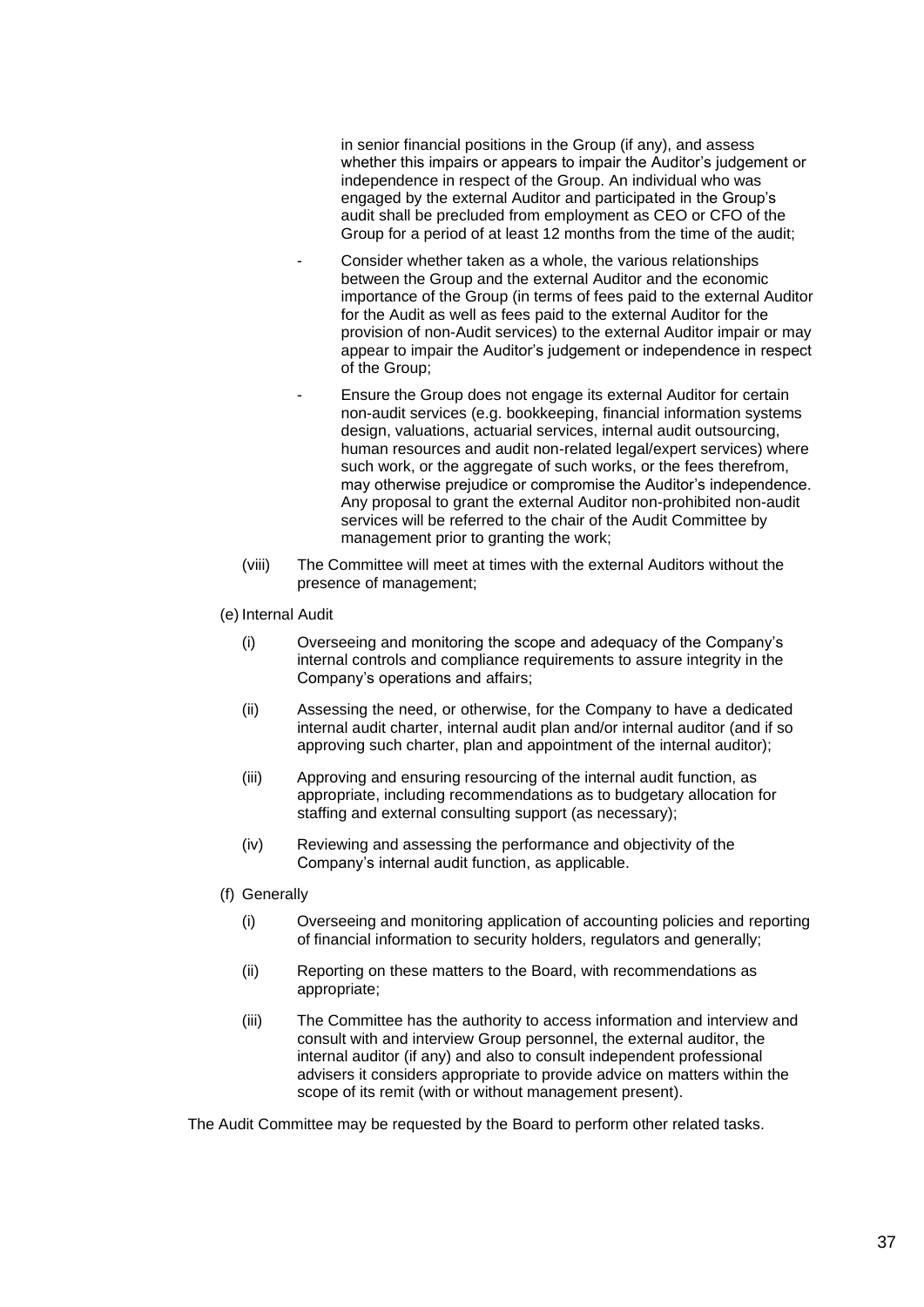in senior financial positions in the Group (if any), and assess whether this impairs or appears to impair the Auditor's judgement or independence in respect of the Group. An individual who was engaged by the external Auditor and participated in the Group's audit shall be precluded from employment as CEO or CFO of the Group for a period of at least 12 months from the time of the audit;

- Consider whether taken as a whole, the various relationships between the Group and the external Auditor and the economic importance of the Group (in terms of fees paid to the external Auditor for the Audit as well as fees paid to the external Auditor for the provision of non-Audit services) to the external Auditor impair or may appear to impair the Auditor's judgement or independence in respect of the Group;
- Ensure the Group does not engage its external Auditor for certain non-audit services (e.g. bookkeeping, financial information systems design, valuations, actuarial services, internal audit outsourcing, human resources and audit non-related legal/expert services) where such work, or the aggregate of such works, or the fees therefrom, may otherwise prejudice or compromise the Auditor's independence. Any proposal to grant the external Auditor non-prohibited non-audit services will be referred to the chair of the Audit Committee by management prior to granting the work;
- (viii) The Committee will meet at times with the external Auditors without the presence of management;
- (e) Internal Audit
	- (i) Overseeing and monitoring the scope and adequacy of the Company's internal controls and compliance requirements to assure integrity in the Company's operations and affairs;
	- (ii) Assessing the need, or otherwise, for the Company to have a dedicated internal audit charter, internal audit plan and/or internal auditor (and if so approving such charter, plan and appointment of the internal auditor);
	- (iii) Approving and ensuring resourcing of the internal audit function, as appropriate, including recommendations as to budgetary allocation for staffing and external consulting support (as necessary);
	- (iv) Reviewing and assessing the performance and objectivity of the Company's internal audit function, as applicable.
- (f) Generally
	- (i) Overseeing and monitoring application of accounting policies and reporting of financial information to security holders, regulators and generally;
	- (ii) Reporting on these matters to the Board, with recommendations as appropriate;
	- (iii) The Committee has the authority to access information and interview and consult with and interview Group personnel, the external auditor, the internal auditor (if any) and also to consult independent professional advisers it considers appropriate to provide advice on matters within the scope of its remit (with or without management present).

The Audit Committee may be requested by the Board to perform other related tasks.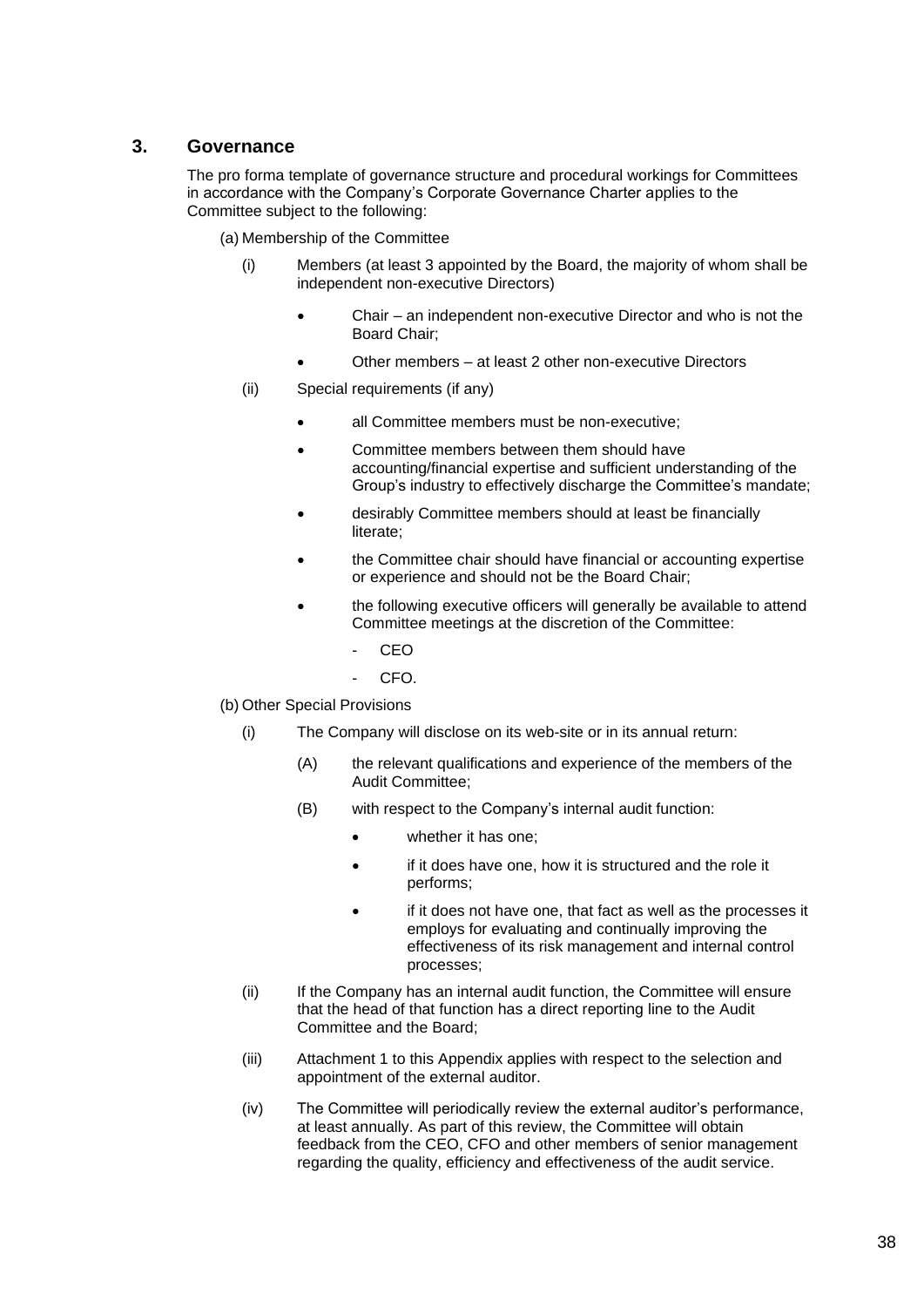## **3. Governance**

The pro forma template of governance structure and procedural workings for Committees in accordance with the Company's Corporate Governance Charter applies to the Committee subject to the following:

(a) Membership of the Committee

- (i) Members (at least 3 appointed by the Board, the majority of whom shall be independent non-executive Directors)
	- Chair an independent non-executive Director and who is not the Board Chair;
	- Other members at least 2 other non-executive Directors
- (ii) Special requirements (if any)
	- all Committee members must be non-executive:
	- Committee members between them should have accounting/financial expertise and sufficient understanding of the Group's industry to effectively discharge the Committee's mandate;
	- desirably Committee members should at least be financially literate;
	- the Committee chair should have financial or accounting expertise or experience and should not be the Board Chair;
	- the following executive officers will generally be available to attend Committee meetings at the discretion of the Committee:
		- CEO
		- CFO.

(b) Other Special Provisions

- (i) The Company will disclose on its web-site or in its annual return:
	- (A) the relevant qualifications and experience of the members of the Audit Committee;
	- (B) with respect to the Company's internal audit function:
		- whether it has one;
		- if it does have one, how it is structured and the role it performs;
		- if it does not have one, that fact as well as the processes it employs for evaluating and continually improving the effectiveness of its risk management and internal control processes;
- (ii) If the Company has an internal audit function, the Committee will ensure that the head of that function has a direct reporting line to the Audit Committee and the Board;
- (iii) Attachment 1 to this Appendix applies with respect to the selection and appointment of the external auditor.
- (iv) The Committee will periodically review the external auditor's performance, at least annually. As part of this review, the Committee will obtain feedback from the CEO, CFO and other members of senior management regarding the quality, efficiency and effectiveness of the audit service.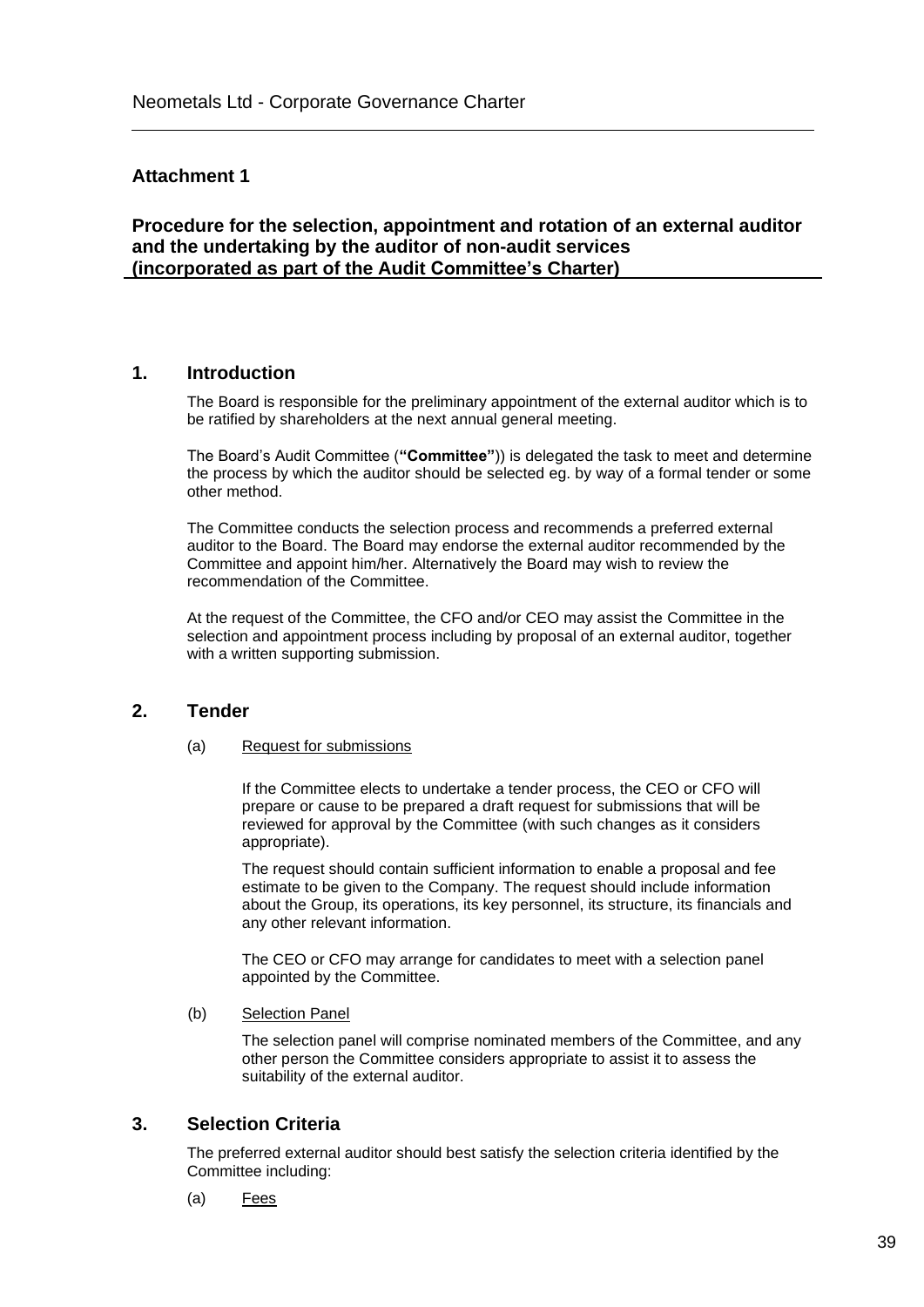## **Attachment 1**

**Procedure for the selection, appointment and rotation of an external auditor and the undertaking by the auditor of non-audit services (incorporated as part of the Audit Committee's Charter)**

### **1. Introduction**

The Board is responsible for the preliminary appointment of the external auditor which is to be ratified by shareholders at the next annual general meeting.

The Board's Audit Committee (**"Committee"**)) is delegated the task to meet and determine the process by which the auditor should be selected eg. by way of a formal tender or some other method.

The Committee conducts the selection process and recommends a preferred external auditor to the Board. The Board may endorse the external auditor recommended by the Committee and appoint him/her. Alternatively the Board may wish to review the recommendation of the Committee.

At the request of the Committee, the CFO and/or CEO may assist the Committee in the selection and appointment process including by proposal of an external auditor, together with a written supporting submission.

## **2. Tender**

#### (a) Request for submissions

If the Committee elects to undertake a tender process, the CEO or CFO will prepare or cause to be prepared a draft request for submissions that will be reviewed for approval by the Committee (with such changes as it considers appropriate).

The request should contain sufficient information to enable a proposal and fee estimate to be given to the Company. The request should include information about the Group, its operations, its key personnel, its structure, its financials and any other relevant information.

The CEO or CFO may arrange for candidates to meet with a selection panel appointed by the Committee.

#### (b) Selection Panel

The selection panel will comprise nominated members of the Committee, and any other person the Committee considers appropriate to assist it to assess the suitability of the external auditor.

## **3. Selection Criteria**

The preferred external auditor should best satisfy the selection criteria identified by the Committee including:

(a) Fees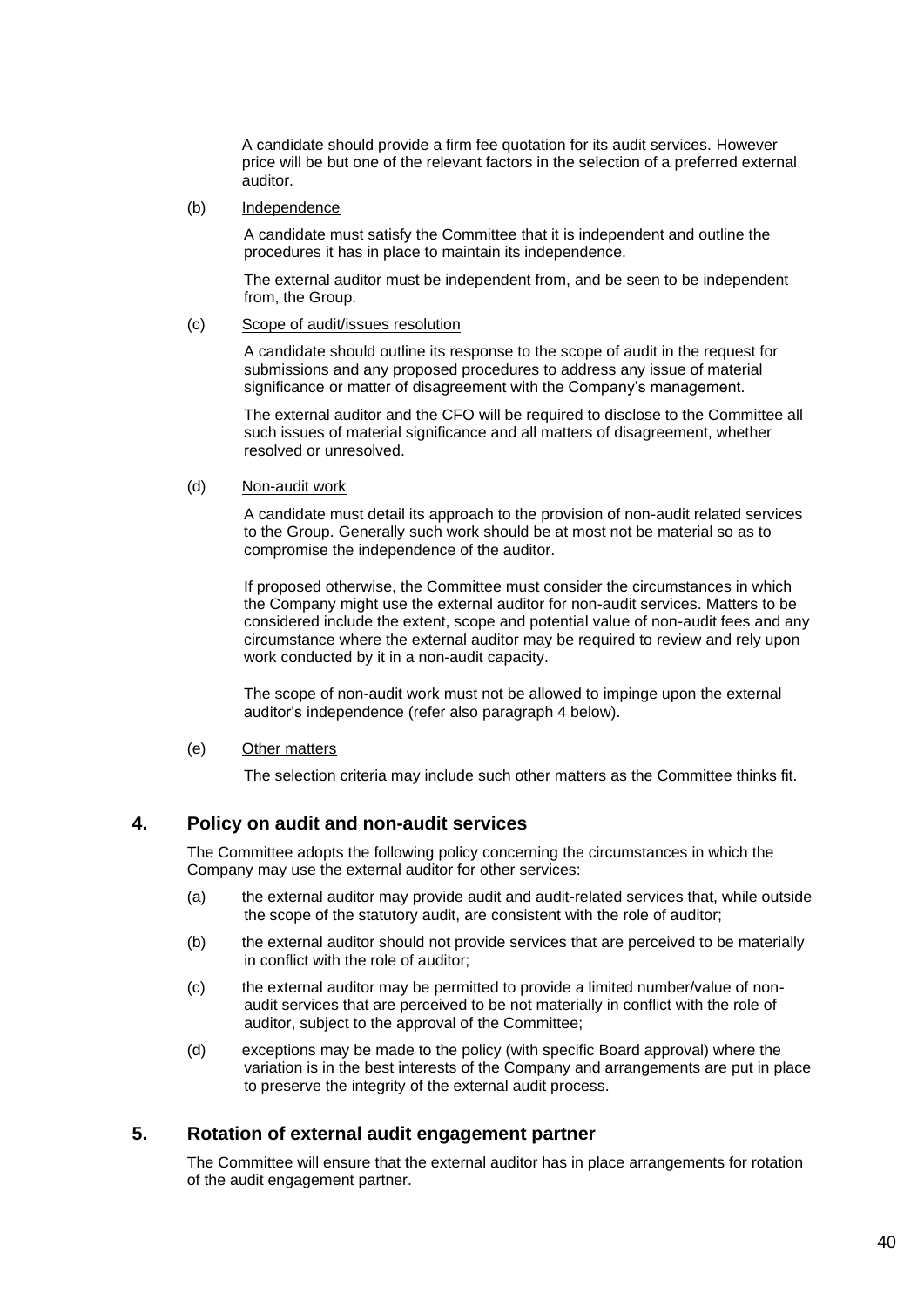A candidate should provide a firm fee quotation for its audit services. However price will be but one of the relevant factors in the selection of a preferred external auditor.

(b) Independence

A candidate must satisfy the Committee that it is independent and outline the procedures it has in place to maintain its independence.

The external auditor must be independent from, and be seen to be independent from, the Group.

#### (c) Scope of audit/issues resolution

A candidate should outline its response to the scope of audit in the request for submissions and any proposed procedures to address any issue of material significance or matter of disagreement with the Company's management.

The external auditor and the CFO will be required to disclose to the Committee all such issues of material significance and all matters of disagreement, whether resolved or unresolved.

#### (d) Non-audit work

A candidate must detail its approach to the provision of non-audit related services to the Group. Generally such work should be at most not be material so as to compromise the independence of the auditor.

If proposed otherwise, the Committee must consider the circumstances in which the Company might use the external auditor for non-audit services. Matters to be considered include the extent, scope and potential value of non-audit fees and any circumstance where the external auditor may be required to review and rely upon work conducted by it in a non-audit capacity.

The scope of non-audit work must not be allowed to impinge upon the external auditor's independence (refer also paragraph 4 below).

(e) Other matters

The selection criteria may include such other matters as the Committee thinks fit.

# **4. Policy on audit and non-audit services**

The Committee adopts the following policy concerning the circumstances in which the Company may use the external auditor for other services:

- (a) the external auditor may provide audit and audit-related services that, while outside the scope of the statutory audit, are consistent with the role of auditor;
- (b) the external auditor should not provide services that are perceived to be materially in conflict with the role of auditor;
- (c) the external auditor may be permitted to provide a limited number/value of nonaudit services that are perceived to be not materially in conflict with the role of auditor, subject to the approval of the Committee;
- (d) exceptions may be made to the policy (with specific Board approval) where the variation is in the best interests of the Company and arrangements are put in place to preserve the integrity of the external audit process.

# **5. Rotation of external audit engagement partner**

The Committee will ensure that the external auditor has in place arrangements for rotation of the audit engagement partner.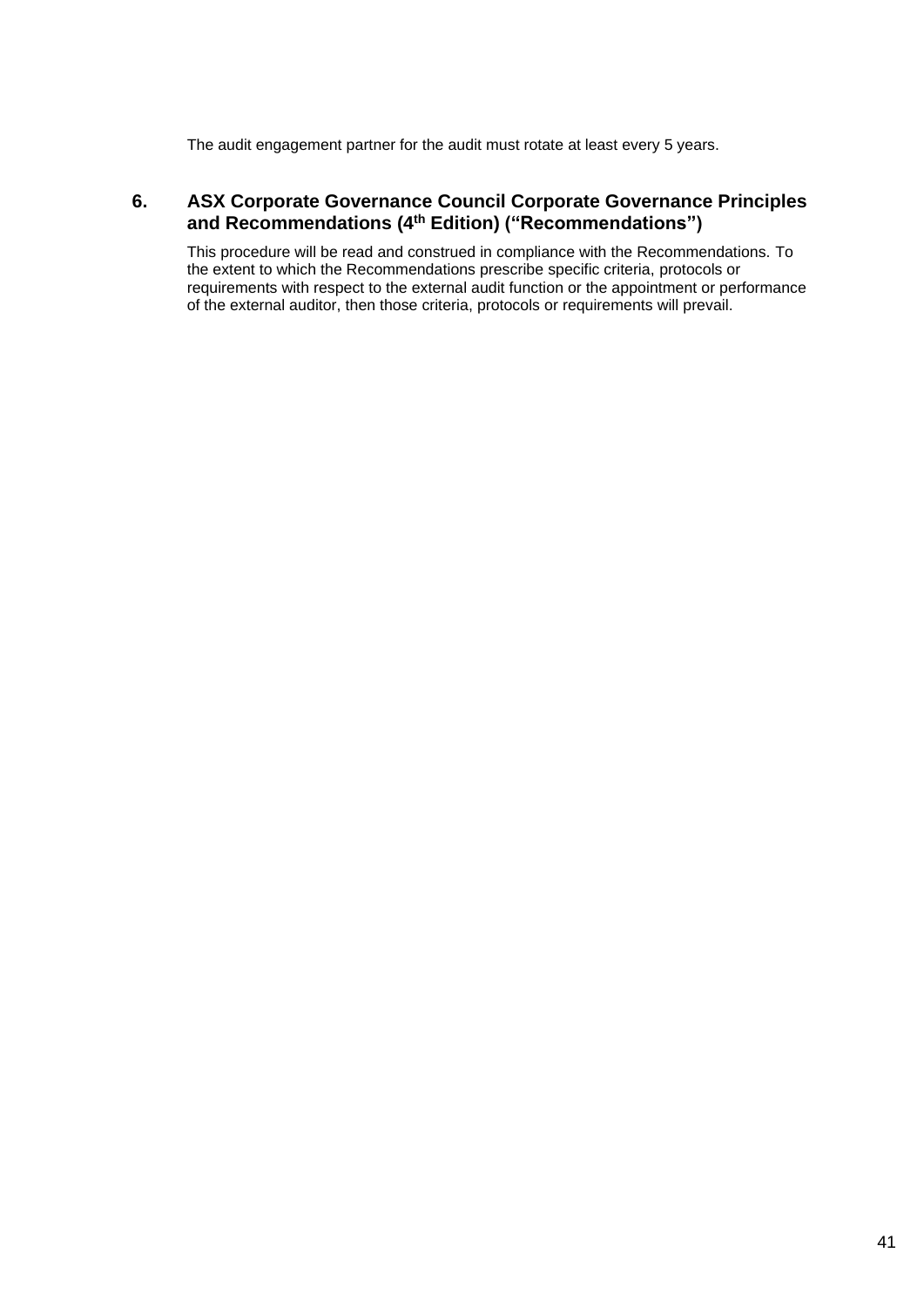The audit engagement partner for the audit must rotate at least every 5 years.

# **6. ASX Corporate Governance Council Corporate Governance Principles and Recommendations (4th Edition) ("Recommendations")**

This procedure will be read and construed in compliance with the Recommendations. To the extent to which the Recommendations prescribe specific criteria, protocols or requirements with respect to the external audit function or the appointment or performance of the external auditor, then those criteria, protocols or requirements will prevail.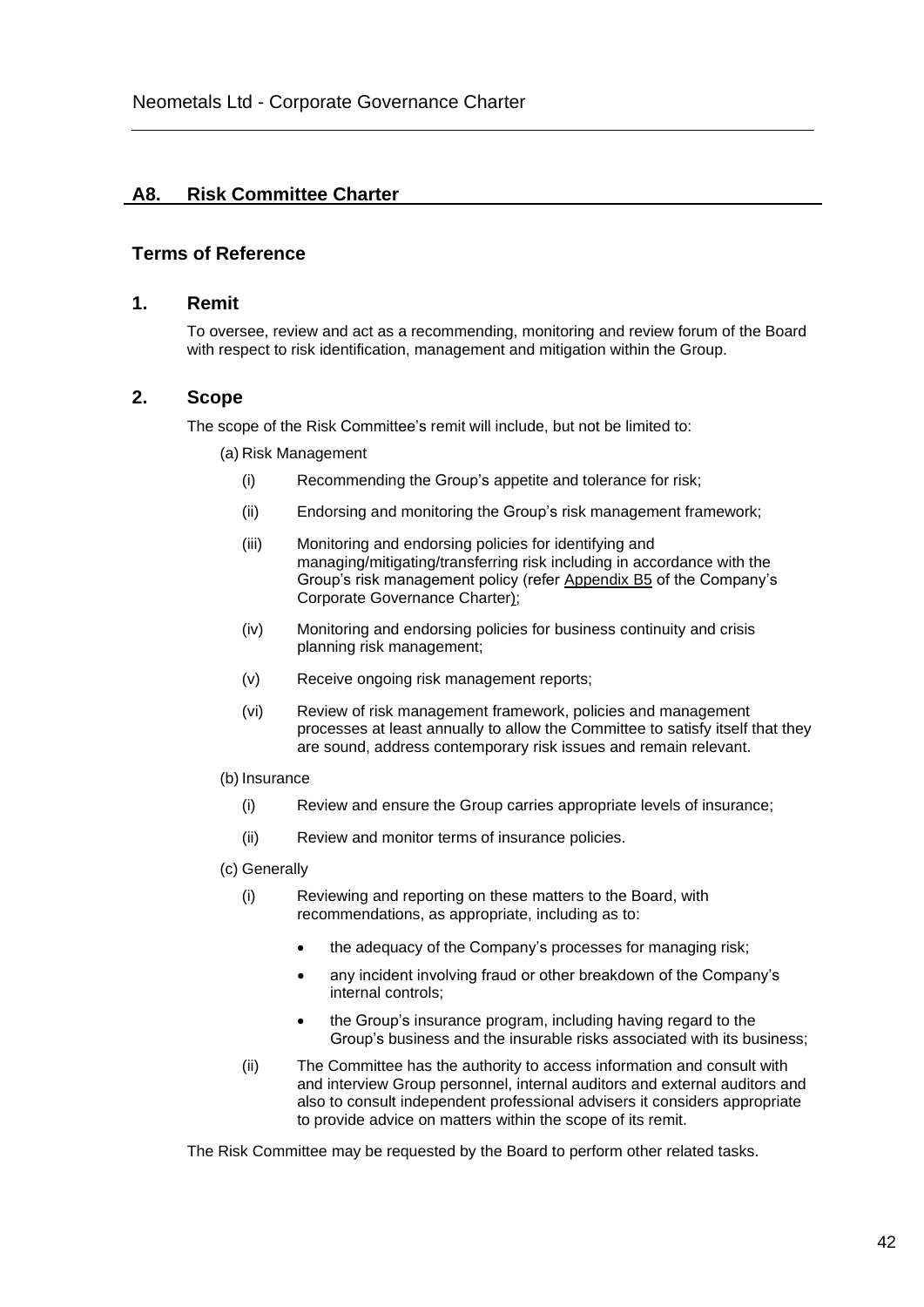# **A8. Risk Committee Charter**

### **Terms of Reference**

#### **1. Remit**

To oversee, review and act as a recommending, monitoring and review forum of the Board with respect to risk identification, management and mitigation within the Group.

### **2. Scope**

The scope of the Risk Committee's remit will include, but not be limited to:

- (a) Risk Management
	- (i) Recommending the Group's appetite and tolerance for risk;
	- (ii) Endorsing and monitoring the Group's risk management framework;
	- (iii) Monitoring and endorsing policies for identifying and managing/mitigating/transferring risk including in accordance with the Group's risk management policy (refer Appendix B5 of the Company's Corporate Governance Charter);
	- (iv) Monitoring and endorsing policies for business continuity and crisis planning risk management;
	- (v) Receive ongoing risk management reports;
	- (vi) Review of risk management framework, policies and management processes at least annually to allow the Committee to satisfy itself that they are sound, address contemporary risk issues and remain relevant.

#### (b) Insurance

- (i) Review and ensure the Group carries appropriate levels of insurance;
- (ii) Review and monitor terms of insurance policies.
- (c) Generally
	- (i) Reviewing and reporting on these matters to the Board, with recommendations, as appropriate, including as to:
		- the adequacy of the Company's processes for managing risk;
		- any incident involving fraud or other breakdown of the Company's internal controls;
		- the Group's insurance program, including having regard to the Group's business and the insurable risks associated with its business;
	- (ii) The Committee has the authority to access information and consult with and interview Group personnel, internal auditors and external auditors and also to consult independent professional advisers it considers appropriate to provide advice on matters within the scope of its remit.

The Risk Committee may be requested by the Board to perform other related tasks.